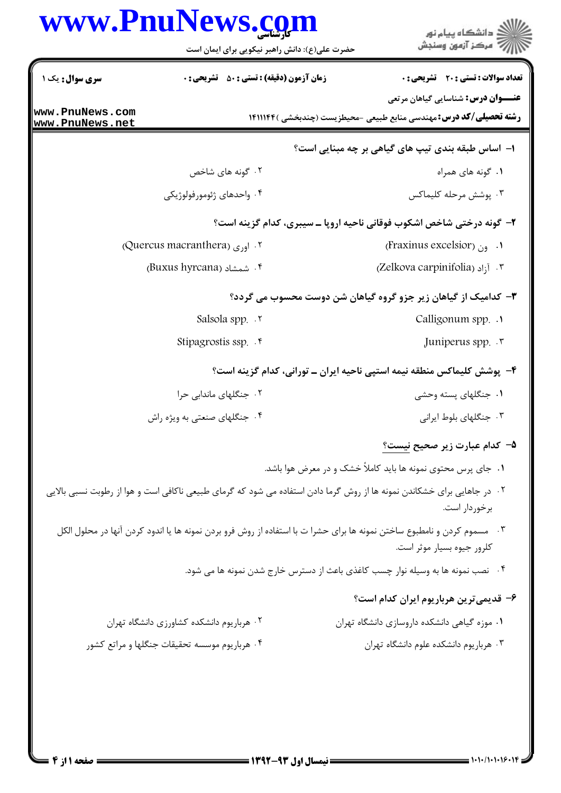|                                                              | www.PnuNews.com<br>حضرت علی(ع): دانش راهبر نیکویی برای ایمان است | ر<br>دانشڪاه پيام نور<br>۾ مرکز آزمون وسنڊش                                                                                                                   |
|--------------------------------------------------------------|------------------------------------------------------------------|---------------------------------------------------------------------------------------------------------------------------------------------------------------|
| <b>سری سوال :</b> یک ۱<br>www.PnuNews.com<br>www.PnuNews.net | <b>زمان آزمون (دقیقه) : تستی : 50 ٪ تشریحی : 0</b>               | تعداد سوالات : تستى : 20 قشريحى : 0<br><b>عنـــوان درس:</b> شناسایی گیاهان مرتعی<br><b>رشته تحصیلی/کد درس:</b> مهندسی منابع طبیعی -محیطزیست (چندبخشی )۱۴۱۱۱۴۴ |
|                                                              |                                                                  | ا- اساس طبقه بندی تیپ های گیاهی بر چه مبنایی است؟                                                                                                             |
|                                                              | ۰۲ گونه های شاخص                                                 | ۰۱ گونه های همراه                                                                                                                                             |
|                                                              | ۰۴ واحدهای ژئومورفولوژیکی                                        | ۰۳ پوشش مرحله کلیماکس                                                                                                                                         |
|                                                              |                                                                  | ۲- گونه درختی شاخص اشکوب فوقانی ناحیه اروپا ـ سیبری، کدام گزینه است؟                                                                                          |
|                                                              | Quercus macranthera) . $\mathsf{I}_{\mathsf{e},\mathsf{e}}$ .    | (Fraxinus excelsior) (Fraxinus excelsion)                                                                                                                     |
|                                                              | ۴. شمشاد (Buxus hyrcana)                                         | 7. آ <sub>ز</sub> اد (Zelkova carpinifolia)                                                                                                                   |
|                                                              |                                                                  | ۳- کدامیک از گیاهان زیر جزو گروه گیاهان شن دوست محسوب می گردد؟                                                                                                |
|                                                              | Salsola spp. . ٢                                                 | Calligonum spp. .                                                                                                                                             |
|                                                              | Stipagrostis ssp. f                                              | Juniperus spp. .                                                                                                                                              |
|                                                              |                                                                  | ۴– پوشش کلیماکس منطقه نیمه استپی ناحیه ایران ــ تورانی، کدام گزینه است؟                                                                                       |
|                                                              | ۰۲ جنگلهای ماندابی حرا                                           | ۰۱ جنگلهای پسته وحشی                                                                                                                                          |
|                                                              | ۰۴ جنگلهای صنعتی به ویژه راش                                     | ۰۳ جنگلهای بلوط ایرانی                                                                                                                                        |
|                                                              |                                                                  | ۵– کدام عبارت زیر صحیح <u>نیست؟</u>                                                                                                                           |
|                                                              |                                                                  | ۱. جای پرس محتوی نمونه ها باید کاملاً خشک و در معرض هوا باشد.                                                                                                 |
|                                                              |                                                                  | ۰۲ در جاهایی برای خشکاندن نمونه ها از روش گرما دادن استفاده می شود که گرمای طبیعی ناکافی است و هوا از رطوبت نسبی بالایی<br>برخوردار است.                      |
|                                                              |                                                                  | ۰۳ مسموم کردن و نامطبوع ساختن نمونه ها برای حشرا ت با استفاده از روش فرو بردن نمونه ها یا اندود کردن آنها در محلول الکل<br>كلرور جيوه بسيار موثر است.         |
|                                                              |                                                                  | ۰۴ نصب نمونه ها به وسیله نوار چسب کاغذی باعث از دسترس خارج شدن نمونه ها می شود.                                                                               |
|                                                              |                                                                  | ۶– قدیمی ترین هرباریوم ایران کدام است؟                                                                                                                        |
|                                                              | ۰۲ هرباریوم دانشکده کشاورزی دانشگاه تهران                        | ۰۱ موزه گیاهی دانشکده داروسازی دانشگاه تهران                                                                                                                  |
|                                                              | ۰۴ هرباریوم موسسه تحقیقات جنگلها و مراتع کشور                    | ۰۳ هرباریوم دانشکده علوم دانشگاه تهران                                                                                                                        |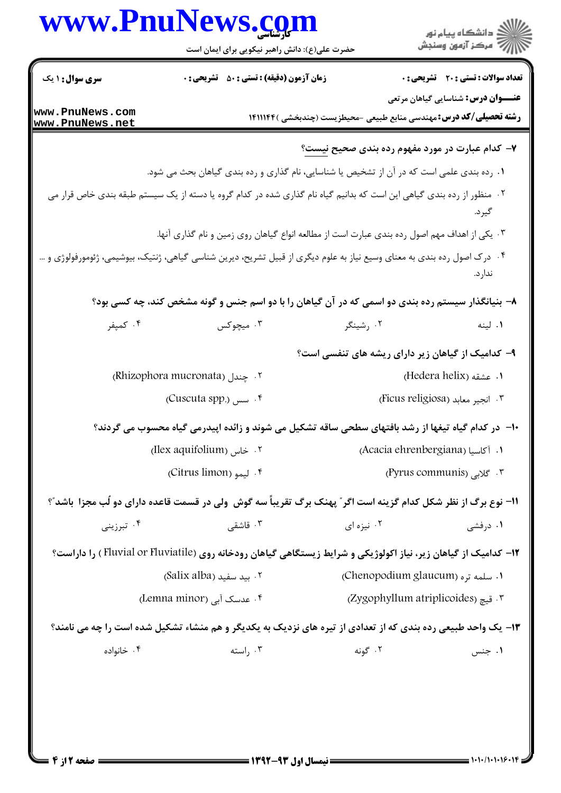| <b>سری سوال : ۱ یک</b>             | <b>زمان آزمون (دقیقه) : تستی : 50 ٪ تشریحی : 0</b>                                                                       |                                                                           | <b>تعداد سوالات : تستی : 20 - تشریحی : 0</b> |
|------------------------------------|--------------------------------------------------------------------------------------------------------------------------|---------------------------------------------------------------------------|----------------------------------------------|
|                                    |                                                                                                                          |                                                                           | <b>عنـــوان درس:</b> شناسایی گیاهان مرتعی    |
| www.PnuNews.com<br>www.PnuNews.net |                                                                                                                          | <b>رشته تحصیلی/کد درس:</b> مهندسی منابع طبیعی -محیطزیست (چندبخشی )۱۴۱۱۱۴۴ |                                              |
|                                    |                                                                                                                          | ۷- کدام عبارت در مورد مفهوم رده بندی صحیح <u>نیست</u> ؟                   |                                              |
|                                    | ۰۱ رده بندی علمی است که در آن از تشخیص یا شناسایی، نام گذاری و رده بندی گیاهان بحث می شود.                               |                                                                           |                                              |
|                                    | ۰۲ منظور از رده بندی گیاهی این است که بدانیم گیاه نام گذاری شده در کدام گروه یا دسته از یک سیستم طبقه بندی خاص قرار می   |                                                                           | گير د.                                       |
|                                    | ۰۳ یکی از اهداف مهم اصول رده بندی عبارت است از مطالعه انواع گیاهان روی زمین و نام گذاری آنها.                            |                                                                           |                                              |
|                                    | ۰۴ درک اصول رده بندی به معنای وسیع نیاز به علوم دیگری از قبیل تشریح، دیرین شناسی گیاهی، ژنتیک، بیوشیمی، ژئومورفولوژی و … |                                                                           | ندار د.                                      |
|                                    | ۸– بنیانگذار سیستم رده بندی دو اسمی که در آن گیاهان را با دو اسم جنس و گونه مشخص کند، چه کسی بود؟                        |                                                                           |                                              |
| ۰۴ کمپفر                           | ۰۳ میچوکس                                                                                                                | ۰۲ رشینگر                                                                 | ۰۱ لینه                                      |
|                                    |                                                                                                                          | ۹- کدامیک از گیاهان زیر دارای ریشه های تنفسی است؟                         |                                              |
|                                    | Rhizophora mucronata) بجندل                                                                                              |                                                                           | ۱. عشقه (Hedera helix)                       |
|                                    | ۴. سس (Cuscuta spp.)                                                                                                     |                                                                           | ٢. انجير معابد (Ficus religiosa)             |
|                                    | ∙ا−  در کدام گیاه تیغها از رشد بافتهای سطحی ساقه تشکیل می شوند و زائده اپیدرمی گیاه محسوب می گردند؟                      |                                                                           |                                              |
|                                    | Ilex aquifolium) . خاس                                                                                                   | (Acacia ehrenbergiana) 1. آكاسيا                                          |                                              |
|                                    | ۴. ليمو (Citrus limon)،                                                                                                  |                                                                           | r گلابی (Pyrus communis)                     |
|                                    | 1۱- نوع برگ از نظر شکل کدام گزینه است اگر ؒ پهنک برگ تقریباً سه گوش ولی در قسمت قاعده دارای دو لُب مجزا باشد ؒ؟          |                                                                           |                                              |
| ۰۴ تېرزىنى                         | ۰۳ قاشقی                                                                                                                 | ۰۲ نیزه ای                                                                | ۰۱ درفشی                                     |
|                                    | ۱۲- کدامیک از گیاهان زیر، نیاز اکولوژیکی و شرایط زیستگاهی گیاهان رودخانه روی (Fluvial or Fluviatile ) را داراست؟         |                                                                           |                                              |
|                                    | ۲. بيد سفيد (Salix alba)                                                                                                 | ۰۱ سلمه تره (Chenopodium glaucum)                                         |                                              |
| ۰۴ عدسک آبی (Lemna minor)          |                                                                                                                          | ۲. قیچ (Zygophyllum atriplicoides)                                        |                                              |
|                                    | ۱۳- یک واحد طبیعی رده بندی که از تعدادی از تیره های نزدیک به یکدیگر و هم منشاء تشکیل شده است را چه می نامند؟             |                                                                           |                                              |
| ۰۴ خانواده                         | ۰۳ راسته                                                                                                                 | ۰۲ گونه                                                                   | ۰۱ جنس                                       |
|                                    |                                                                                                                          |                                                                           |                                              |
|                                    |                                                                                                                          |                                                                           |                                              |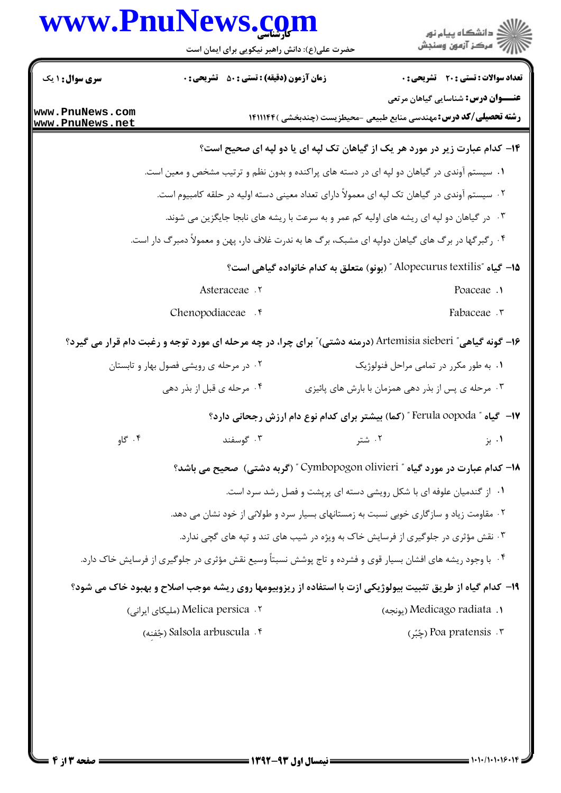| <b>سری سوال :</b> ۱ یک<br>Asteraceae .٢<br>Chenopodiaceae . <sup>6</sup><br>۱۶– گونه گیاهی ّ Artemisia sieberi (درمنه دشتی) ّ برای چرا، در چه مرحله ای مورد توجه و رغبت دام قرار می گیرد؟<br>۰۲ در مرحله ی رویشی فصول بهار و تابستان<br>۰۴ مرحله ي قبل از بذر دهي | <b>زمان آزمون (دقیقه) : تستی : 50 ٪ تشریحی : 0</b> | <b>تعداد سوالات : تستی : 20 - تشریحی : 0</b><br><b>عنـــوان درس:</b> شناسایی گیاهان مرتعی<br><b>رشته تحصیلی/کد درس:</b> مهندسی منابع طبیعی -محیطزیست (چندبخشی )۱۴۱۱۱۴۴<br>۱۴- کدام عبارت زیر در مورد هر یک از گیاهان تک لپه ای یا دو لپه ای صحیح است؟<br>۰۱ سیستم آوندی در گیاهان دو لپه ای در دسته های پراکنده و بدون نظم و ترتیب مشخص و معین است.<br>۰۲ سیستم آوندی در گیاهان تک لپه ای معمولاً دارای تعداد معینی دسته اولیه در حلقه کامبیوم است.<br>۰۳ در گیاهان دو لپه ای ریشه های اولیه کم عمر و به سرعت با ریشه های نابجا جایگزین می شوند.<br>۰۴ رگبرگها در برگ های گیاهان دولپه ای مشبک، برگ ها به ندرت غلاف دار، پهن و معمولاً دمبرگ دار است.<br>۱۵− گیاه ″Alopecurus textilis ″ (بونو) متعلق به کدام خانواده گیاهی است؟ |
|-------------------------------------------------------------------------------------------------------------------------------------------------------------------------------------------------------------------------------------------------------------------|----------------------------------------------------|----------------------------------------------------------------------------------------------------------------------------------------------------------------------------------------------------------------------------------------------------------------------------------------------------------------------------------------------------------------------------------------------------------------------------------------------------------------------------------------------------------------------------------------------------------------------------------------------------------------------------------------------------------------------------------------------------------------------------------|
| www.PnuNews.com<br>www.PnuNews.net                                                                                                                                                                                                                                |                                                    |                                                                                                                                                                                                                                                                                                                                                                                                                                                                                                                                                                                                                                                                                                                                  |
|                                                                                                                                                                                                                                                                   |                                                    |                                                                                                                                                                                                                                                                                                                                                                                                                                                                                                                                                                                                                                                                                                                                  |
|                                                                                                                                                                                                                                                                   |                                                    |                                                                                                                                                                                                                                                                                                                                                                                                                                                                                                                                                                                                                                                                                                                                  |
|                                                                                                                                                                                                                                                                   |                                                    |                                                                                                                                                                                                                                                                                                                                                                                                                                                                                                                                                                                                                                                                                                                                  |
|                                                                                                                                                                                                                                                                   |                                                    |                                                                                                                                                                                                                                                                                                                                                                                                                                                                                                                                                                                                                                                                                                                                  |
|                                                                                                                                                                                                                                                                   |                                                    |                                                                                                                                                                                                                                                                                                                                                                                                                                                                                                                                                                                                                                                                                                                                  |
|                                                                                                                                                                                                                                                                   |                                                    |                                                                                                                                                                                                                                                                                                                                                                                                                                                                                                                                                                                                                                                                                                                                  |
|                                                                                                                                                                                                                                                                   |                                                    |                                                                                                                                                                                                                                                                                                                                                                                                                                                                                                                                                                                                                                                                                                                                  |
|                                                                                                                                                                                                                                                                   |                                                    | Poaceae .                                                                                                                                                                                                                                                                                                                                                                                                                                                                                                                                                                                                                                                                                                                        |
|                                                                                                                                                                                                                                                                   |                                                    | Fabaceae . ٣                                                                                                                                                                                                                                                                                                                                                                                                                                                                                                                                                                                                                                                                                                                     |
|                                                                                                                                                                                                                                                                   |                                                    |                                                                                                                                                                                                                                                                                                                                                                                                                                                                                                                                                                                                                                                                                                                                  |
|                                                                                                                                                                                                                                                                   |                                                    | ۰۱ به طور مکرر در تمامی مراحل فنولوژیک                                                                                                                                                                                                                                                                                                                                                                                                                                                                                                                                                                                                                                                                                           |
|                                                                                                                                                                                                                                                                   |                                                    | ۰۳ مرحله ي پس از بذر دهي همزمان با بارش هاي پائيزي                                                                                                                                                                                                                                                                                                                                                                                                                                                                                                                                                                                                                                                                               |
|                                                                                                                                                                                                                                                                   |                                                    | ۱۷–  گیاه " Ferula oopoda " (کما) بیشتر برای کدام نوع دام ارزش رجحانی دارد؟                                                                                                                                                                                                                                                                                                                                                                                                                                                                                                                                                                                                                                                      |
| ۰۴ گاو                                                                                                                                                                                                                                                            | ۰۳ گوسفند                                          | ۰۲ شتر<br>۰۱ بز                                                                                                                                                                                                                                                                                                                                                                                                                                                                                                                                                                                                                                                                                                                  |
|                                                                                                                                                                                                                                                                   |                                                    | ۱۸– کدام عبارت در مورد گیاه " Cymbopogon olivieri " (گربه دشتی) صحیح می باشد؟                                                                                                                                                                                                                                                                                                                                                                                                                                                                                                                                                                                                                                                    |
|                                                                                                                                                                                                                                                                   |                                                    | ۰۱ از گندمیان علوفه ای با شکل رویشی دسته ای پریشت و فصل رشد سرد است.                                                                                                                                                                                                                                                                                                                                                                                                                                                                                                                                                                                                                                                             |
|                                                                                                                                                                                                                                                                   |                                                    | ۲ . مقاومت زیاد و سازگاری خوبی نسبت به زمستانهای بسیار سرد و طولانی از خود نشان می دهد.                                                                                                                                                                                                                                                                                                                                                                                                                                                                                                                                                                                                                                          |
|                                                                                                                                                                                                                                                                   |                                                    | ۰۳ نقش مؤثری در جلوگیری از فرسایش خاک به ویژه در شیب های تند و تپه های گچی ندارد.                                                                                                                                                                                                                                                                                                                                                                                                                                                                                                                                                                                                                                                |
| ۰۴ با وجود ریشه های افشان بسیار قوی و فشرده و تاج پوشش نسبتاً وسیع نقش مؤثری در جلوگیری از فرسایش خاک دارد.                                                                                                                                                       |                                                    |                                                                                                                                                                                                                                                                                                                                                                                                                                                                                                                                                                                                                                                                                                                                  |
|                                                                                                                                                                                                                                                                   |                                                    | ۱۹- کدام گیاه از طریق تثبیت بیولوژیکی ازت با استفاده از ریزوبیومها روی ریشه موجب اصلاح و بهبود خاک می شود؟                                                                                                                                                                                                                                                                                                                                                                                                                                                                                                                                                                                                                       |
| Melica persica . ۲ (ملیکای ایرانی)                                                                                                                                                                                                                                |                                                    | (يونجه) Medicago radiata .۱                                                                                                                                                                                                                                                                                                                                                                                                                                                                                                                                                                                                                                                                                                      |
| نجفنه) Salsola arbuscula . ۴                                                                                                                                                                                                                                      |                                                    | م Poa pratensis . ۳ (چُبُر)                                                                                                                                                                                                                                                                                                                                                                                                                                                                                                                                                                                                                                                                                                      |